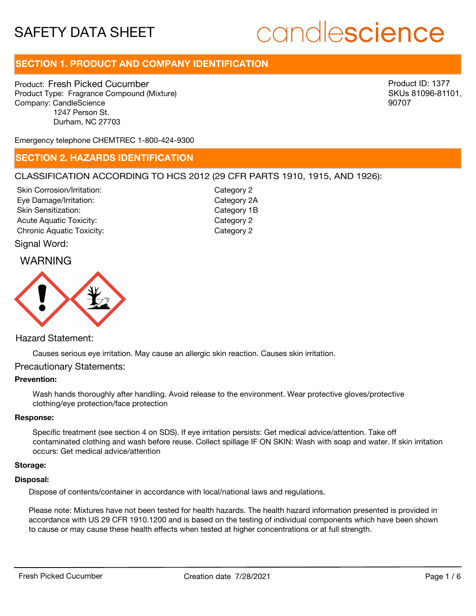# candlescience

## **SECTION 1. PRODUCT AND COMPANY IDENTIFICATION**

Product: Fresh Picked Cucumber Product Type: Fragrance Compound (Mixture) Company: CandleScience 1247 Person St. Durham, NC 27703

Product ID: 1377 SKUs 81096-81101, 90707

Emergency telephone CHEMTREC 1-800-424-9300

## **SECTION 2. HAZARDS IDENTIFICATION**

## CLASSIFICATION ACCORDING TO HCS 2012 (29 CFR PARTS 1910, 1915, AND 1926):

Skin Corrosion/Irritation: Eye Damage/Irritation: Skin Sensitization: Acute Aquatic Toxicity: Category 2 Chronic Aquatic Toxicity: Chronic Aquatic Toxicity:

Category 2 Category 2A Category 1B

## Signal Word:

## WARNING



## Hazard Statement:

Causes serious eye irritation. May cause an allergic skin reaction. Causes skin irritation.

## Precautionary Statements:

## **Prevention:**

Wash hands thoroughly after handling. Avoid release to the environment. Wear protective gloves/protective clothing/eye protection/face protection

#### **Response:**

Specific treatment (see section 4 on SDS). If eye irritation persists: Get medical advice/attention. Take off contaminated clothing and wash before reuse. Collect spillage IF ON SKIN: Wash with soap and water. If skin irritation occurs: Get medical advice/attention

#### **Storage:**

#### **Disposal:**

Dispose of contents/container in accordance with local/national laws and regulations.

Please note: Mixtures have not been tested for health hazards. The health hazard information presented is provided in accordance with US 29 CFR 1910.1200 and is based on the testing of individual components which have been shown to cause or may cause these health effects when tested at higher concentrations or at full strength.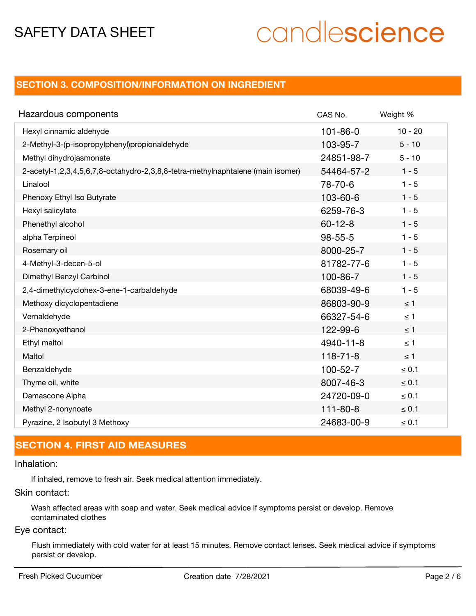# candlescience

## **SECTION 3. COMPOSITION/INFORMATION ON INGREDIENT**

| Hazardous components                                                            | CAS No.        | Weight %   |
|---------------------------------------------------------------------------------|----------------|------------|
| Hexyl cinnamic aldehyde                                                         | $101 - 86 - 0$ | $10 - 20$  |
| 2-Methyl-3-(p-isopropylphenyl)propionaldehyde                                   | 103-95-7       | $5 - 10$   |
| Methyl dihydrojasmonate                                                         | 24851-98-7     | $5 - 10$   |
| 2-acetyl-1,2,3,4,5,6,7,8-octahydro-2,3,8,8-tetra-methylnaphtalene (main isomer) | 54464-57-2     | $1 - 5$    |
| Linalool                                                                        | 78-70-6        | $1 - 5$    |
| Phenoxy Ethyl Iso Butyrate                                                      | 103-60-6       | $1 - 5$    |
| Hexyl salicylate                                                                | 6259-76-3      | $1 - 5$    |
| Phenethyl alcohol                                                               | $60 - 12 - 8$  | $1 - 5$    |
| alpha Terpineol                                                                 | $98 - 55 - 5$  | $1 - 5$    |
| Rosemary oil                                                                    | 8000-25-7      | $1 - 5$    |
| 4-Methyl-3-decen-5-ol                                                           | 81782-77-6     | $1 - 5$    |
| Dimethyl Benzyl Carbinol                                                        | 100-86-7       | $1 - 5$    |
| 2,4-dimethylcyclohex-3-ene-1-carbaldehyde                                       | 68039-49-6     | $1 - 5$    |
| Methoxy dicyclopentadiene                                                       | 86803-90-9     | $\leq 1$   |
| Vernaldehyde                                                                    | 66327-54-6     | $\leq 1$   |
| 2-Phenoxyethanol                                                                | 122-99-6       | $\leq$ 1   |
| Ethyl maltol                                                                    | 4940-11-8      | $\leq 1$   |
| Maltol                                                                          | $118 - 71 - 8$ | $\leq 1$   |
| Benzaldehyde                                                                    | $100 - 52 - 7$ | $\leq 0.1$ |
| Thyme oil, white                                                                | 8007-46-3      | $\leq 0.1$ |
| Damascone Alpha                                                                 | 24720-09-0     | $\leq 0.1$ |
| Methyl 2-nonynoate                                                              | $111 - 80 - 8$ | $\leq 0.1$ |
| Pyrazine, 2 Isobutyl 3 Methoxy                                                  | 24683-00-9     | $\leq 0.1$ |

## **SECTION 4. FIRST AID MEASURES**

Inhalation:

If inhaled, remove to fresh air. Seek medical attention immediately.

Skin contact:

Wash affected areas with soap and water. Seek medical advice if symptoms persist or develop. Remove contaminated clothes

## Eye contact:

Flush immediately with cold water for at least 15 minutes. Remove contact lenses. Seek medical advice if symptoms persist or develop.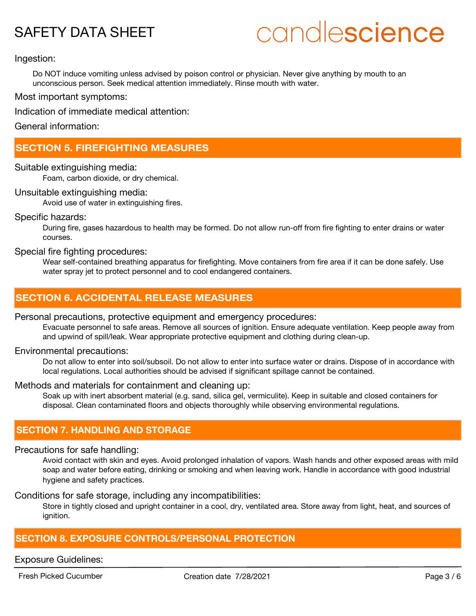# candlescience

## Ingestion:

Do NOT induce vomiting unless advised by poison control or physician. Never give anything by mouth to an unconscious person. Seek medical attention immediately. Rinse mouth with water.

Most important symptoms:

Indication of immediate medical attention:

General information:

## **SECTION 5. FIREFIGHTING MEASURES**

## Suitable extinguishing media:

Foam, carbon dioxide, or dry chemical.

## Unsuitable extinguishing media:

Avoid use of water in extinguishing fires.

## Specific hazards:

During fire, gases hazardous to health may be formed. Do not allow run-off from fire fighting to enter drains or water courses.

## Special fire fighting procedures:

Wear self-contained breathing apparatus for firefighting. Move containers from fire area if it can be done safely. Use water spray jet to protect personnel and to cool endangered containers.

## **SECTION 6. ACCIDENTAL RELEASE MEASURES**

## Personal precautions, protective equipment and emergency procedures:

Evacuate personnel to safe areas. Remove all sources of ignition. Ensure adequate ventilation. Keep people away from and upwind of spill/leak. Wear appropriate protective equipment and clothing during clean-up.

## Environmental precautions:

Do not allow to enter into soil/subsoil. Do not allow to enter into surface water or drains. Dispose of in accordance with local regulations. Local authorities should be advised if significant spillage cannot be contained.

## Methods and materials for containment and cleaning up:

Soak up with inert absorbent material (e.g. sand, silica gel, vermiculite). Keep in suitable and closed containers for disposal. Clean contaminated floors and objects thoroughly while observing environmental regulations.

## **SECTION 7. HANDLING AND STORAGE**

## Precautions for safe handling:

Avoid contact with skin and eyes. Avoid prolonged inhalation of vapors. Wash hands and other exposed areas with mild soap and water before eating, drinking or smoking and when leaving work. Handle in accordance with good industrial hygiene and safety practices.

Conditions for safe storage, including any incompatibilities:

Store in tightly closed and upright container in a cool, dry, ventilated area. Store away from light, heat, and sources of ignition.

## **SECTION 8. EXPOSURE CONTROLS/PERSONAL PROTECTION**

## Exposure Guidelines:

Fresh Picked Cucumber **Creation date 7/28/2021** Page 3 / 6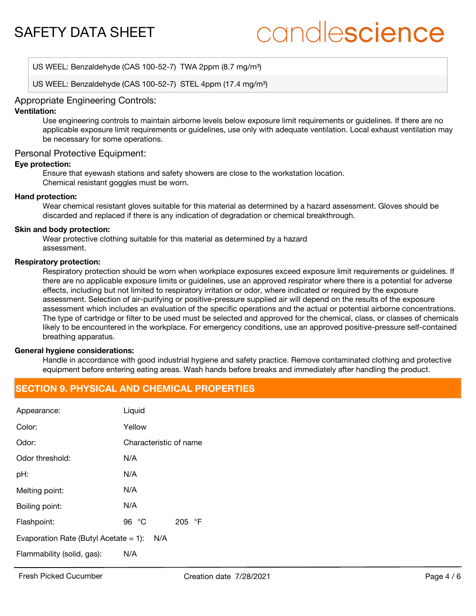# candlescience

US WEEL: Benzaldehyde (CAS 100-52-7) TWA 2ppm (8.7 mg/m<sup>3</sup>)

US WEEL: Benzaldehyde (CAS 100-52-7) STEL 4ppm (17.4 mg/m<sup>3</sup>)

## Appropriate Engineering Controls:

## **Ventilation:**

Use engineering controls to maintain airborne levels below exposure limit requirements or guidelines. If there are no applicable exposure limit requirements or guidelines, use only with adequate ventilation. Local exhaust ventilation may be necessary for some operations.

## Personal Protective Equipment:

## **Eye protection:**

Ensure that eyewash stations and safety showers are close to the workstation location. Chemical resistant goggles must be worn.

#### **Hand protection:**

Wear chemical resistant gloves suitable for this material as determined by a hazard assessment. Gloves should be discarded and replaced if there is any indication of degradation or chemical breakthrough.

#### **Skin and body protection:**

Wear protective clothing suitable for this material as determined by a hazard assessment.

#### **Respiratory protection:**

Respiratory protection should be worn when workplace exposures exceed exposure limit requirements or guidelines. If there are no applicable exposure limits or guidelines, use an approved respirator where there is a potential for adverse effects, including but not limited to respiratory irritation or odor, where indicated or required by the exposure assessment. Selection of air-purifying or positive-pressure supplied air will depend on the results of the exposure assessment which includes an evaluation of the specific operations and the actual or potential airborne concentrations. The type of cartridge or filter to be used must be selected and approved for the chemical, class, or classes of chemicals likely to be encountered in the workplace. For emergency conditions, use an approved positive-pressure self-contained breathing apparatus.

#### **General hygiene considerations:**

Handle in accordance with good industrial hygiene and safety practice. Remove contaminated clothing and protective equipment before entering eating areas. Wash hands before breaks and immediately after handling the product.

## **SECTION 9. PHYSICAL AND CHEMICAL PROPERTIES**

| Appearance:                                     | Liquid                 |  |
|-------------------------------------------------|------------------------|--|
| Color:                                          | Yellow                 |  |
| Odor:                                           | Characteristic of name |  |
| Odor threshold:                                 | N/A                    |  |
| pH:                                             | N/A                    |  |
| Melting point:                                  | N/A                    |  |
| Boiling point:                                  | N/A                    |  |
| Flashpoint:                                     | 96 $°C$<br>205 °F      |  |
| Evaporation Rate (Butyl Acetate $= 1$ ):<br>N/A |                        |  |
| Flammability (solid, gas):                      | N/A                    |  |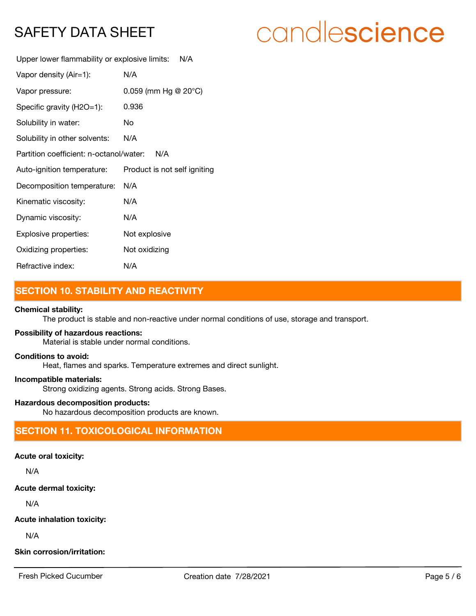# candlescience

Upper lower flammability or explosive limits: N/A

| Vapor density (Air=1):                         | N/A                               |  |
|------------------------------------------------|-----------------------------------|--|
| Vapor pressure:                                | $0.059$ (mm Hg @ 20 $^{\circ}$ C) |  |
| Specific gravity (H2O=1):                      | 0.936                             |  |
| Solubility in water:                           | No                                |  |
| Solubility in other solvents:                  | N/A                               |  |
| Partition coefficient: n-octanol/water:<br>N/A |                                   |  |
| Auto-ignition temperature:                     | Product is not self igniting      |  |
| Decomposition temperature:                     | N/A                               |  |
| Kinematic viscosity:                           | N/A                               |  |
| Dynamic viscosity:                             | N/A                               |  |
| Explosive properties:                          | Not explosive                     |  |
| Oxidizing properties:                          | Not oxidizing                     |  |
| Refractive index:                              | N/A                               |  |

## **SECTION 10. STABILITY AND REACTIVITY**

## **Chemical stability:**

The product is stable and non-reactive under normal conditions of use, storage and transport.

## **Possibility of hazardous reactions:**

Material is stable under normal conditions.

## **Conditions to avoid:**

Heat, flames and sparks. Temperature extremes and direct sunlight.

#### **Incompatible materials:**

Strong oxidizing agents. Strong acids. Strong Bases.

## **Hazardous decomposition products:**

No hazardous decomposition products are known.

## **SECTION 11. TOXICOLOGICAL INFORMATION**

## **Acute oral toxicity:**

N/A

## **Acute dermal toxicity:**

N/A

## **Acute inhalation toxicity:**

N/A

## **Skin corrosion/irritation:**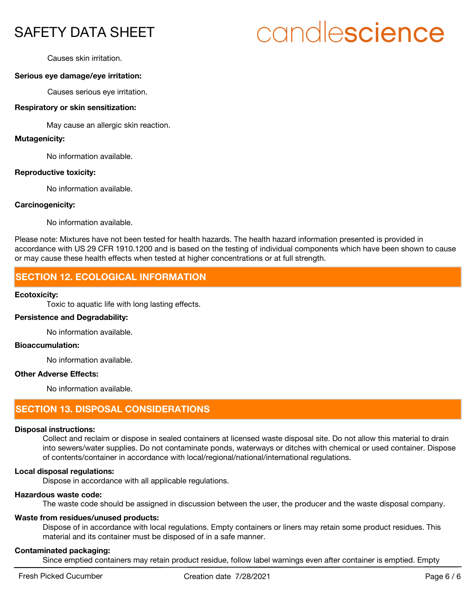# candlescience

Causes skin irritation.

## **Serious eye damage/eye irritation:**

Causes serious eye irritation.

## **Respiratory or skin sensitization:**

May cause an allergic skin reaction.

## **Mutagenicity:**

No information available.

## **Reproductive toxicity:**

No information available.

## **Carcinogenicity:**

No information available.

Please note: Mixtures have not been tested for health hazards. The health hazard information presented is provided in accordance with US 29 CFR 1910.1200 and is based on the testing of individual components which have been shown to cause or may cause these health effects when tested at higher concentrations or at full strength.

## **SECTION 12. ECOLOGICAL INFORMATION**

## **Ecotoxicity:**

Toxic to aquatic life with long lasting effects.

## **Persistence and Degradability:**

No information available.

## **Bioaccumulation:**

No information available.

## **Other Adverse Effects:**

No information available.

## **SECTION 13. DISPOSAL CONSIDERATIONS**

## **Disposal instructions:**

Collect and reclaim or dispose in sealed containers at licensed waste disposal site. Do not allow this material to drain into sewers/water supplies. Do not contaminate ponds, waterways or ditches with chemical or used container. Dispose of contents/container in accordance with local/regional/national/international regulations.

## **Local disposal regulations:**

Dispose in accordance with all applicable regulations.

## **Hazardous waste code:**

The waste code should be assigned in discussion between the user, the producer and the waste disposal company.

## **Waste from residues/unused products:**

Dispose of in accordance with local regulations. Empty containers or liners may retain some product residues. This material and its container must be disposed of in a safe manner.

## **Contaminated packaging:**

Since emptied containers may retain product residue, follow label warnings even after container is emptied. Empty